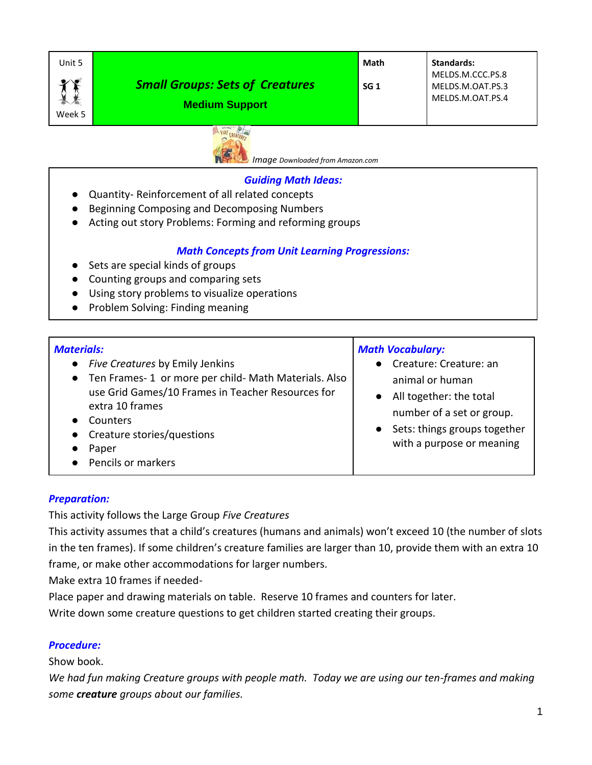| Unit 5              |                                                                 | Math            | <b>Standards:</b>                                        |
|---------------------|-----------------------------------------------------------------|-----------------|----------------------------------------------------------|
| $\bullet$<br>Week 5 | <b>Small Groups: Sets of Creatures</b><br><b>Medium Support</b> | SG <sub>1</sub> | MELDS.M.CCC.PS.8<br>MELDS.M.OAT.PS.3<br>MELDS.M.OAT.PS.4 |



*Image Downloaded from Amazon.com*

### *Guiding Math Ideas:*

- Quantity- Reinforcement of all related concepts
- Beginning Composing and Decomposing Numbers
- Acting out story Problems: Forming and reforming groups

## *Math Concepts from Unit Learning Progressions:*

- Sets are special kinds of groups
- Counting groups and comparing sets
- Using story problems to visualize operations
- Problem Solving: Finding meaning

## *Materials:*

| <u>ULETIUD.</u>                                                                                                                                                     | <b>IVIULII VULUNUIUI Y.</b>                                                            |  |
|---------------------------------------------------------------------------------------------------------------------------------------------------------------------|----------------------------------------------------------------------------------------|--|
| • Five Creatures by Emily Jenkins<br>• Ten Frames-1 or more per child- Math Materials. Also<br>use Grid Games/10 Frames in Teacher Resources for<br>extra 10 frames | • Creature: Creature: an<br>animal or human<br>All together: the total                 |  |
| Counters<br>• Creature stories/questions<br>Paper<br>• Pencils or markers                                                                                           | number of a set or group.<br>Sets: things groups together<br>with a purpose or meaning |  |

*Math Vocabulary:*

## *Preparation:*

This activity follows the Large Group *Five Creatures*

This activity assumes that a child's creatures (humans and animals) won't exceed 10 (the number of slots in the ten frames). If some children's creature families are larger than 10, provide them with an extra 10 frame, or make other accommodations for larger numbers.

Make extra 10 frames if needed-

Place paper and drawing materials on table. Reserve 10 frames and counters for later.

Write down some creature questions to get children started creating their groups.

## *Procedure:*

Show book.

*We had fun making Creature groups with people math. Today we are using our ten-frames and making some creature groups about our families.*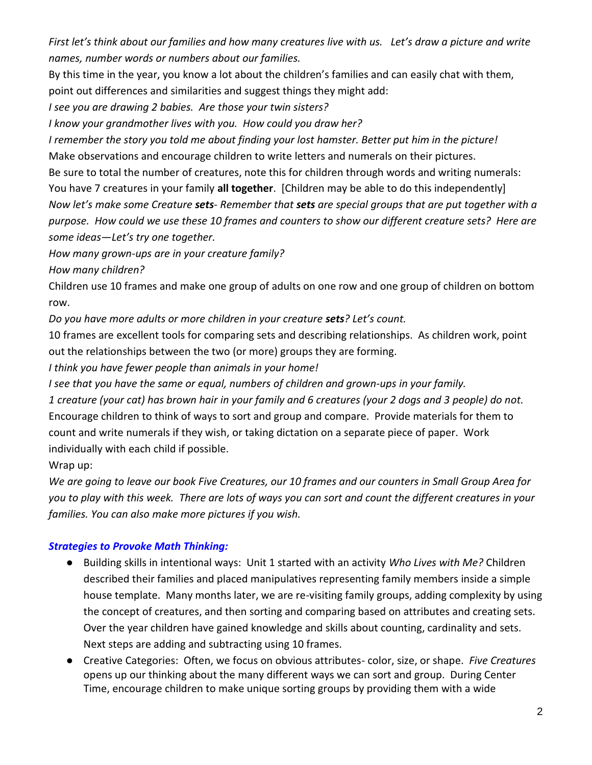*First let's think about our families and how many creatures live with us. Let's draw a picture and write names, number words or numbers about our families.*

By this time in the year, you know a lot about the children's families and can easily chat with them, point out differences and similarities and suggest things they might add:

*I see you are drawing 2 babies. Are those your twin sisters?*

*I know your grandmother lives with you. How could you draw her?*

*I remember the story you told me about finding your lost hamster. Better put him in the picture!*

Make observations and encourage children to write letters and numerals on their pictures.

Be sure to total the number of creatures, note this for children through words and writing numerals:

You have 7 creatures in your family **all together**. [Children may be able to do this independently]

*Now let's make some Creature sets- Remember that sets are special groups that are put together with a purpose. How could we use these 10 frames and counters to show our different creature sets? Here are some ideas—Let's try one together.*

*How many grown-ups are in your creature family?*

*How many children?*

Children use 10 frames and make one group of adults on one row and one group of children on bottom row.

*Do you have more adults or more children in your creature sets? Let's count.*

10 frames are excellent tools for comparing sets and describing relationships. As children work, point out the relationships between the two (or more) groups they are forming.

*I think you have fewer people than animals in your home!* 

*I see that you have the same or equal, numbers of children and grown-ups in your family.*

*1 creature (your cat) has brown hair in your family and 6 creatures (your 2 dogs and 3 people) do not.* Encourage children to think of ways to sort and group and compare. Provide materials for them to count and write numerals if they wish, or taking dictation on a separate piece of paper. Work individually with each child if possible.

Wrap up:

*We are going to leave our book Five Creatures, our 10 frames and our counters in Small Group Area for you to play with this week. There are lots of ways you can sort and count the different creatures in your families. You can also make more pictures if you wish.*

# *Strategies to Provoke Math Thinking:*

- Building skills in intentional ways: Unit 1 started with an activity *Who Lives with Me?* Children described their families and placed manipulatives representing family members inside a simple house template. Many months later, we are re-visiting family groups, adding complexity by using the concept of creatures, and then sorting and comparing based on attributes and creating sets. Over the year children have gained knowledge and skills about counting, cardinality and sets. Next steps are adding and subtracting using 10 frames.
- Creative Categories: Often, we focus on obvious attributes- color, size, or shape. *Five Creatures* opens up our thinking about the many different ways we can sort and group. During Center Time, encourage children to make unique sorting groups by providing them with a wide